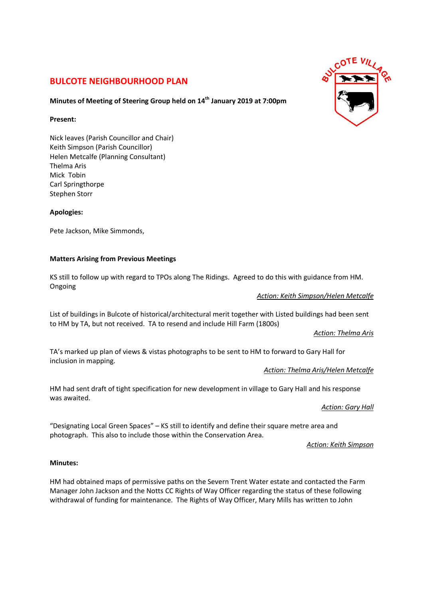# **BULCOTE NEIGHBOURHOOD PLAN**

## **Minutes of Meeting of Steering Group held on 14th January 2019 at 7:00pm**

### **Present:**

Nick leaves (Parish Councillor and Chair) Keith Simpson (Parish Councillor) Helen Metcalfe (Planning Consultant) Thelma Aris Mick Tobin Carl Springthorpe Stephen Storr

**Apologies:** 

Pete Jackson, Mike Simmonds,

### **Matters Arising from Previous Meetings**

KS still to follow up with regard to TPOs along The Ridings. Agreed to do this with guidance from HM. Ongoing

*Action: Keith Simpson/Helen Metcalfe*

List of buildings in Bulcote of historical/architectural merit together with Listed buildings had been sent to HM by TA, but not received. TA to resend and include Hill Farm (1800s)

*Action: Thelma Aris*

TA's marked up plan of views & vistas photographs to be sent to HM to forward to Gary Hall for inclusion in mapping.

### *Action: Thelma Aris/Helen Metcalfe*

HM had sent draft of tight specification for new development in village to Gary Hall and his response was awaited.

*Action: Gary Hall*

"Designating Local Green Spaces" – KS still to identify and define their square metre area and photograph. This also to include those within the Conservation Area.

*Action: Keith Simpson*

### **Minutes:**

HM had obtained maps of permissive paths on the Severn Trent Water estate and contacted the Farm Manager John Jackson and the Notts CC Rights of Way Officer regarding the status of these following withdrawal of funding for maintenance. The Rights of Way Officer, Mary Mills has written to John